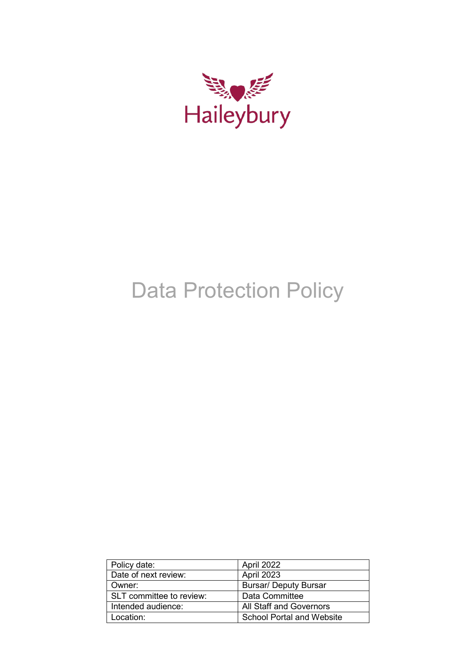

# Data Protection Policy

| Policy date:             | April 2022                       |  |
|--------------------------|----------------------------------|--|
| Date of next review:     | April 2023                       |  |
| Owner:                   | <b>Bursar/ Deputy Bursar</b>     |  |
| SLT committee to review: | Data Committee                   |  |
| Intended audience:       | <b>All Staff and Governors</b>   |  |
| Location:                | <b>School Portal and Website</b> |  |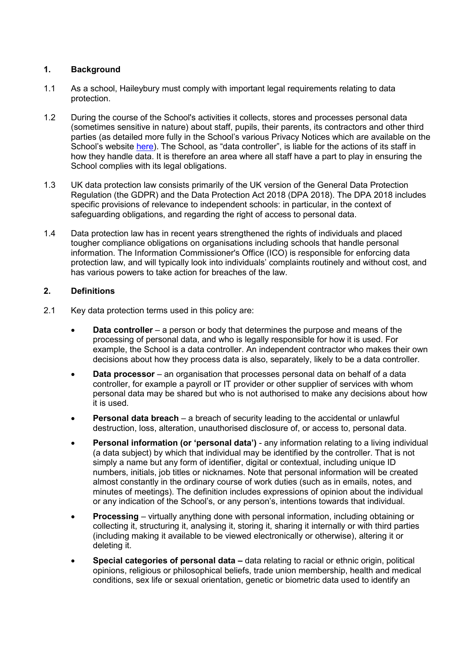# **1. Background**

- 1.1 As a school, Haileybury must comply with important legal requirements relating to data protection.
- 1.2 During the course of the School's activities it collects, stores and processes personal data (sometimes sensitive in nature) about staff, pupils, their parents, its contractors and other third parties (as detailed more fully in the School's various Privacy Notices which are available on the School's website [here\)](https://www.haileybury.com/privacy-policy/). The School, as "data controller", is liable for the actions of its staff in how they handle data. It is therefore an area where all staff have a part to play in ensuring the School complies with its legal obligations.
- 1.3 UK data protection law consists primarily of the UK version of the General Data Protection Regulation (the GDPR) and the Data Protection Act 2018 (DPA 2018). The DPA 2018 includes specific provisions of relevance to independent schools: in particular, in the context of safeguarding obligations, and regarding the right of access to personal data.
- 1.4 Data protection law has in recent years strengthened the rights of individuals and placed tougher compliance obligations on organisations including schools that handle personal information. The Information Commissioner's Office (ICO) is responsible for enforcing data protection law, and will typically look into individuals' complaints routinely and without cost, and has various powers to take action for breaches of the law.

# **2. Definitions**

- 2.1 Key data protection terms used in this policy are:
	- **Data controller**  a person or body that determines the purpose and means of the processing of personal data, and who is legally responsible for how it is used. For example, the School is a data controller. An independent contractor who makes their own decisions about how they process data is also, separately, likely to be a data controller.
	- **Data processor**  an organisation that processes personal data on behalf of a data controller, for example a payroll or IT provider or other supplier of services with whom personal data may be shared but who is not authorised to make any decisions about how it is used.
	- **Personal data breach**  a breach of security leading to the accidental or unlawful destruction, loss, alteration, unauthorised disclosure of, or access to, personal data.
	- **Personal information (or 'personal data')** any information relating to a living individual (a data subject) by which that individual may be identified by the controller. That is not simply a name but any form of identifier, digital or contextual, including unique ID numbers, initials, job titles or nicknames. Note that personal information will be created almost constantly in the ordinary course of work duties (such as in emails, notes, and minutes of meetings). The definition includes expressions of opinion about the individual or any indication of the School's, or any person's, intentions towards that individual.
	- **Processing**  virtually anything done with personal information, including obtaining or collecting it, structuring it, analysing it, storing it, sharing it internally or with third parties (including making it available to be viewed electronically or otherwise), altering it or deleting it.
	- **Special categories of personal data** data relating to racial or ethnic origin, political opinions, religious or philosophical beliefs, trade union membership, health and medical conditions, sex life or sexual orientation, genetic or biometric data used to identify an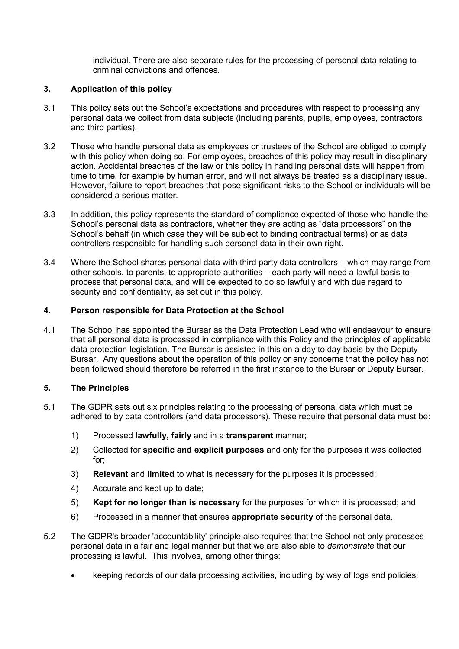individual. There are also separate rules for the processing of personal data relating to criminal convictions and offences.

# **3. Application of this policy**

- 3.1 This policy sets out the School's expectations and procedures with respect to processing any personal data we collect from data subjects (including parents, pupils, employees, contractors and third parties).
- 3.2 Those who handle personal data as employees or trustees of the School are obliged to comply with this policy when doing so. For employees, breaches of this policy may result in disciplinary action. Accidental breaches of the law or this policy in handling personal data will happen from time to time, for example by human error, and will not always be treated as a disciplinary issue. However, failure to report breaches that pose significant risks to the School or individuals will be considered a serious matter.
- 3.3 In addition, this policy represents the standard of compliance expected of those who handle the School's personal data as contractors, whether they are acting as "data processors" on the School's behalf (in which case they will be subject to binding contractual terms) or as data controllers responsible for handling such personal data in their own right.
- 3.4 Where the School shares personal data with third party data controllers which may range from other schools, to parents, to appropriate authorities – each party will need a lawful basis to process that personal data, and will be expected to do so lawfully and with due regard to security and confidentiality, as set out in this policy.

# **4. Person responsible for Data Protection at the School**

4.1 The School has appointed the Bursar as the Data Protection Lead who will endeavour to ensure that all personal data is processed in compliance with this Policy and the principles of applicable data protection legislation. The Bursar is assisted in this on a day to day basis by the Deputy Bursar. Any questions about the operation of this policy or any concerns that the policy has not been followed should therefore be referred in the first instance to the Bursar or Deputy Bursar.

## **5. The Principles**

- 5.1 The GDPR sets out six principles relating to the processing of personal data which must be adhered to by data controllers (and data processors). These require that personal data must be:
	- 1) Processed **lawfully, fairly** and in a **transparent** manner;
	- 2) Collected for **specific and explicit purposes** and only for the purposes it was collected for;
	- 3) **Relevant** and **limited** to what is necessary for the purposes it is processed;
	- 4) Accurate and kept up to date;
	- 5) **Kept for no longer than is necessary** for the purposes for which it is processed; and
	- 6) Processed in a manner that ensures **appropriate security** of the personal data.
- 5.2 The GDPR's broader 'accountability' principle also requires that the School not only processes personal data in a fair and legal manner but that we are also able to *demonstrate* that our processing is lawful. This involves, among other things:
	- keeping records of our data processing activities, including by way of logs and policies;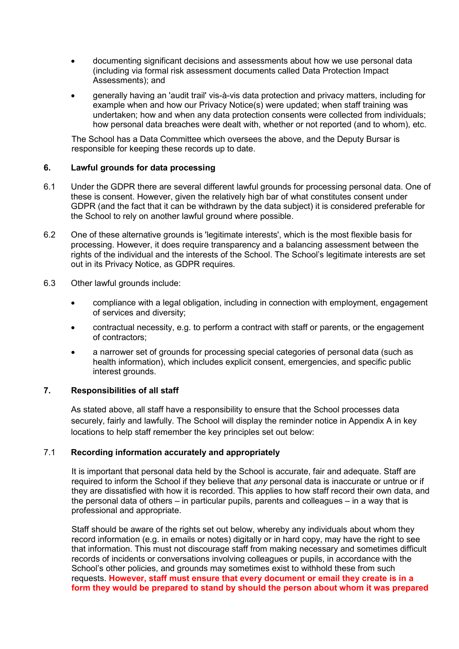- documenting significant decisions and assessments about how we use personal data (including via formal risk assessment documents called Data Protection Impact Assessments); and
- generally having an 'audit trail' vis-à-vis data protection and privacy matters, including for example when and how our Privacy Notice(s) were updated; when staff training was undertaken; how and when any data protection consents were collected from individuals; how personal data breaches were dealt with, whether or not reported (and to whom), etc.

The School has a Data Committee which oversees the above, and the Deputy Bursar is responsible for keeping these records up to date.

## **6. Lawful grounds for data processing**

- 6.1 Under the GDPR there are several different lawful grounds for processing personal data. One of these is consent. However, given the relatively high bar of what constitutes consent under GDPR (and the fact that it can be withdrawn by the data subject) it is considered preferable for the School to rely on another lawful ground where possible.
- 6.2 One of these alternative grounds is 'legitimate interests', which is the most flexible basis for processing. However, it does require transparency and a balancing assessment between the rights of the individual and the interests of the School. The School's legitimate interests are set out in its Privacy Notice, as GDPR requires.
- 6.3 Other lawful grounds include:
	- compliance with a legal obligation, including in connection with employment, engagement of services and diversity;
	- contractual necessity, e.g. to perform a contract with staff or parents, or the engagement of contractors;
	- a narrower set of grounds for processing special categories of personal data (such as health information), which includes explicit consent, emergencies, and specific public interest grounds.

#### **7. Responsibilities of all staff**

As stated above, all staff have a responsibility to ensure that the School processes data securely, fairly and lawfully. The School will display the reminder notice in Appendix A in key locations to help staff remember the key principles set out below:

# 7.1 **Recording information accurately and appropriately**

It is important that personal data held by the School is accurate, fair and adequate. Staff are required to inform the School if they believe that *any* personal data is inaccurate or untrue or if they are dissatisfied with how it is recorded. This applies to how staff record their own data, and the personal data of others – in particular pupils, parents and colleagues – in a way that is professional and appropriate.

Staff should be aware of the rights set out below, whereby any individuals about whom they record information (e.g. in emails or notes) digitally or in hard copy, may have the right to see that information. This must not discourage staff from making necessary and sometimes difficult records of incidents or conversations involving colleagues or pupils, in accordance with the School's other policies, and grounds may sometimes exist to withhold these from such requests. **However, staff must ensure that every document or email they create is in a form they would be prepared to stand by should the person about whom it was prepared**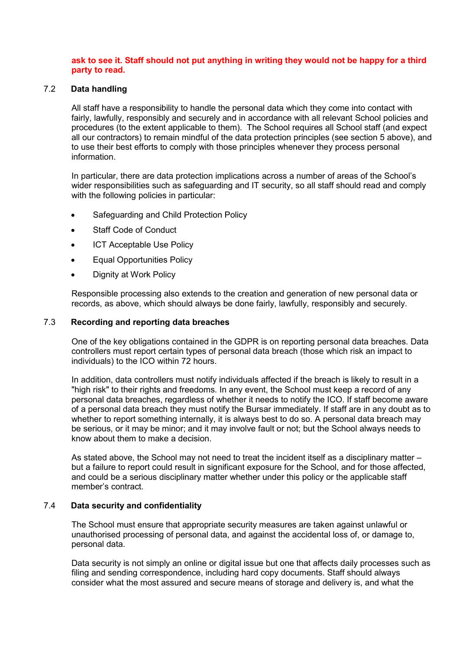### **ask to see it. Staff should not put anything in writing they would not be happy for a third party to read.**

#### 7.2 **Data handling**

All staff have a responsibility to handle the personal data which they come into contact with fairly, lawfully, responsibly and securely and in accordance with all relevant School policies and procedures (to the extent applicable to them). The School requires all School staff (and expect all our contractors) to remain mindful of the data protection principles (see section 5 above), and to use their best efforts to comply with those principles whenever they process personal information.

In particular, there are data protection implications across a number of areas of the School's wider responsibilities such as safeguarding and IT security, so all staff should read and comply with the following policies in particular:

- Safeguarding and Child Protection Policy
- Staff Code of Conduct
- **ICT Acceptable Use Policy**
- Equal Opportunities Policy
- Dignity at Work Policy

Responsible processing also extends to the creation and generation of new personal data or records, as above, which should always be done fairly, lawfully, responsibly and securely.

#### 7.3 **Recording and reporting data breaches**

One of the key obligations contained in the GDPR is on reporting personal data breaches. Data controllers must report certain types of personal data breach (those which risk an impact to individuals) to the ICO within 72 hours.

In addition, data controllers must notify individuals affected if the breach is likely to result in a "high risk" to their rights and freedoms. In any event, the School must keep a record of any personal data breaches, regardless of whether it needs to notify the ICO. If staff become aware of a personal data breach they must notify the Bursar immediately. If staff are in any doubt as to whether to report something internally, it is always best to do so. A personal data breach may be serious, or it may be minor; and it may involve fault or not; but the School always needs to know about them to make a decision.

As stated above, the School may not need to treat the incident itself as a disciplinary matter – but a failure to report could result in significant exposure for the School, and for those affected, and could be a serious disciplinary matter whether under this policy or the applicable staff member's contract.

## 7.4 **Data security and confidentiality**

The School must ensure that appropriate security measures are taken against unlawful or unauthorised processing of personal data, and against the accidental loss of, or damage to, personal data.

Data security is not simply an online or digital issue but one that affects daily processes such as filing and sending correspondence, including hard copy documents. Staff should always consider what the most assured and secure means of storage and delivery is, and what the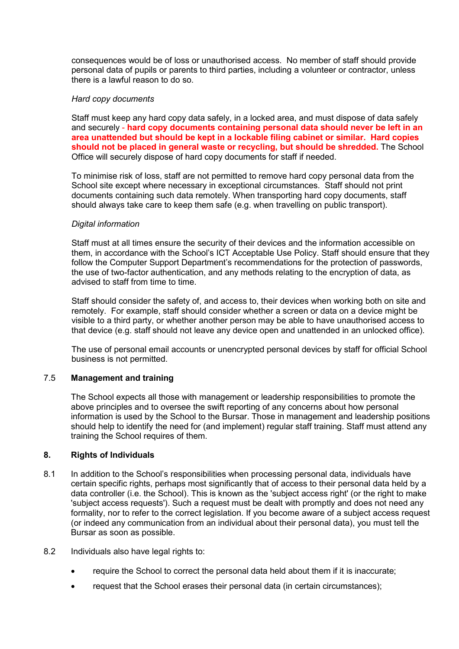consequences would be of loss or unauthorised access. No member of staff should provide personal data of pupils or parents to third parties, including a volunteer or contractor, unless there is a lawful reason to do so.

#### *Hard copy documents*

Staff must keep any hard copy data safely, in a locked area, and must dispose of data safely and securely - **hard copy documents containing personal data should never be left in an area unattended but should be kept in a lockable filing cabinet or similar. Hard copies should not be placed in general waste or recycling, but should be shredded.** The School Office will securely dispose of hard copy documents for staff if needed.

To minimise risk of loss, staff are not permitted to remove hard copy personal data from the School site except where necessary in exceptional circumstances. Staff should not print documents containing such data remotely. When transporting hard copy documents, staff should always take care to keep them safe (e.g. when travelling on public transport).

#### *Digital information*

Staff must at all times ensure the security of their devices and the information accessible on them, in accordance with the School's ICT Acceptable Use Policy. Staff should ensure that they follow the Computer Support Department's recommendations for the protection of passwords, the use of two-factor authentication, and any methods relating to the encryption of data, as advised to staff from time to time.

Staff should consider the safety of, and access to, their devices when working both on site and remotely. For example, staff should consider whether a screen or data on a device might be visible to a third party, or whether another person may be able to have unauthorised access to that device (e.g. staff should not leave any device open and unattended in an unlocked office).

The use of personal email accounts or unencrypted personal devices by staff for official School business is not permitted.

# 7.5 **Management and training**

The School expects all those with management or leadership responsibilities to promote the above principles and to oversee the swift reporting of any concerns about how personal information is used by the School to the Bursar. Those in management and leadership positions should help to identify the need for (and implement) regular staff training. Staff must attend any training the School requires of them.

## **8. Rights of Individuals**

- 8.1 In addition to the School's responsibilities when processing personal data, individuals have certain specific rights, perhaps most significantly that of access to their personal data held by a data controller (i.e. the School). This is known as the 'subject access right' (or the right to make 'subject access requests'). Such a request must be dealt with promptly and does not need any formality, nor to refer to the correct legislation. If you become aware of a subject access request (or indeed any communication from an individual about their personal data), you must tell the Bursar as soon as possible.
- 8.2 Individuals also have legal rights to:
	- require the School to correct the personal data held about them if it is inaccurate;
	- request that the School erases their personal data (in certain circumstances);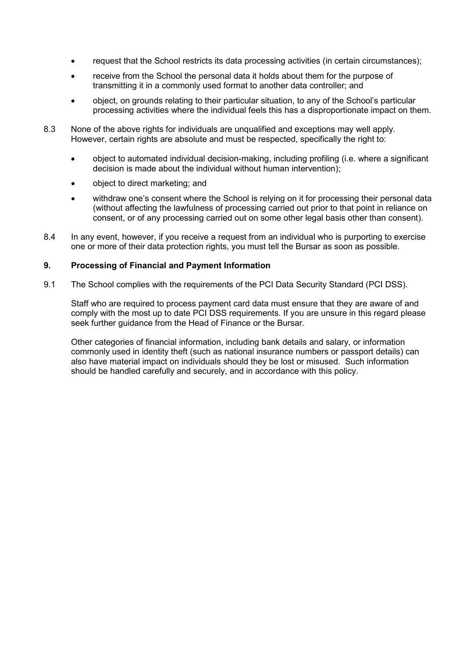- request that the School restricts its data processing activities (in certain circumstances);
- receive from the School the personal data it holds about them for the purpose of transmitting it in a commonly used format to another data controller; and
- object, on grounds relating to their particular situation, to any of the School's particular processing activities where the individual feels this has a disproportionate impact on them.
- 8.3 None of the above rights for individuals are unqualified and exceptions may well apply. However, certain rights are absolute and must be respected, specifically the right to:
	- object to automated individual decision-making, including profiling (i.e. where a significant decision is made about the individual without human intervention);
	- object to direct marketing; and
	- withdraw one's consent where the School is relying on it for processing their personal data (without affecting the lawfulness of processing carried out prior to that point in reliance on consent, or of any processing carried out on some other legal basis other than consent).
- 8.4 In any event, however, if you receive a request from an individual who is purporting to exercise one or more of their data protection rights, you must tell the Bursar as soon as possible.

#### **9. Processing of Financial and Payment Information**

9.1 The School complies with the requirements of the PCI Data Security Standard (PCI DSS).

Staff who are required to process payment card data must ensure that they are aware of and comply with the most up to date PCI DSS requirements. If you are unsure in this regard please seek further guidance from the Head of Finance or the Bursar.

Other categories of financial information, including bank details and salary, or information commonly used in identity theft (such as national insurance numbers or passport details) can also have material impact on individuals should they be lost or misused. Such information should be handled carefully and securely, and in accordance with this policy.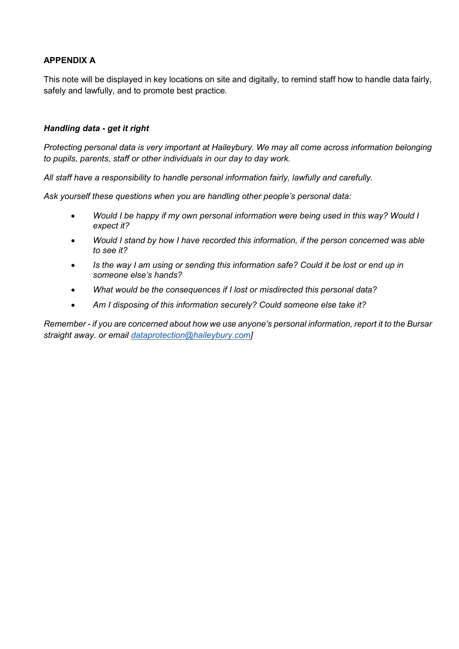# **APPENDIX A**

This note will be displayed in key locations on site and digitally, to remind staff how to handle data fairly, safely and lawfully, and to promote best practice.

# *Handling data - get it right*

*Protecting personal data is very important at Haileybury. We may all come across information belonging to pupils, parents, staff or other individuals in our day to day work.* 

*All staff have a responsibility to handle personal information fairly, lawfully and carefully.*

*Ask yourself these questions when you are handling other people's personal data:*

- *Would I be happy if my own personal information were being used in this way? Would I expect it?*
- *Would I stand by how I have recorded this information, if the person concerned was able to see it?*
- *Is the way I am using or sending this information safe? Could it be lost or end up in someone else's hands?*
- *What would be the consequences if I lost or misdirected this personal data?*
- *Am I disposing of this information securely? Could someone else take it?*

*Remember - if you are concerned about how we use anyone's personal information, report it to the Bursar straight away. or email [dataprotection@haileybury.com\]](mailto:dataprotection@haileybury.com)*